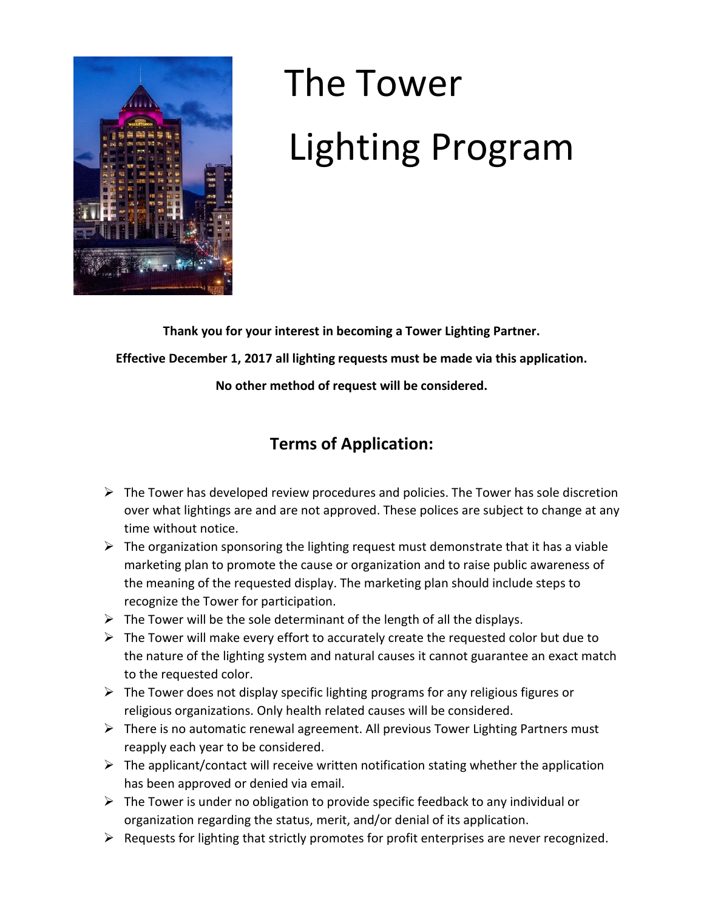

# The Tower Lighting Program

**Thank you for your interest in becoming a Tower Lighting Partner.** 

**Effective December 1, 2017 all lighting requests must be made via this application.** 

**No other method of request will be considered.**

## **Terms of Application:**

- $\triangleright$  The Tower has developed review procedures and policies. The Tower has sole discretion over what lightings are and are not approved. These polices are subject to change at any time without notice.
- $\triangleright$  The organization sponsoring the lighting request must demonstrate that it has a viable marketing plan to promote the cause or organization and to raise public awareness of the meaning of the requested display. The marketing plan should include steps to recognize the Tower for participation.
- $\triangleright$  The Tower will be the sole determinant of the length of all the displays.
- ➢ The Tower will make every effort to accurately create the requested color but due to the nature of the lighting system and natural causes it cannot guarantee an exact match to the requested color.
- $\triangleright$  The Tower does not display specific lighting programs for any religious figures or religious organizations. Only health related causes will be considered.
- $\triangleright$  There is no automatic renewal agreement. All previous Tower Lighting Partners must reapply each year to be considered.
- $\triangleright$  The applicant/contact will receive written notification stating whether the application has been approved or denied via email.
- $\triangleright$  The Tower is under no obligation to provide specific feedback to any individual or organization regarding the status, merit, and/or denial of its application.
- $\triangleright$  Requests for lighting that strictly promotes for profit enterprises are never recognized.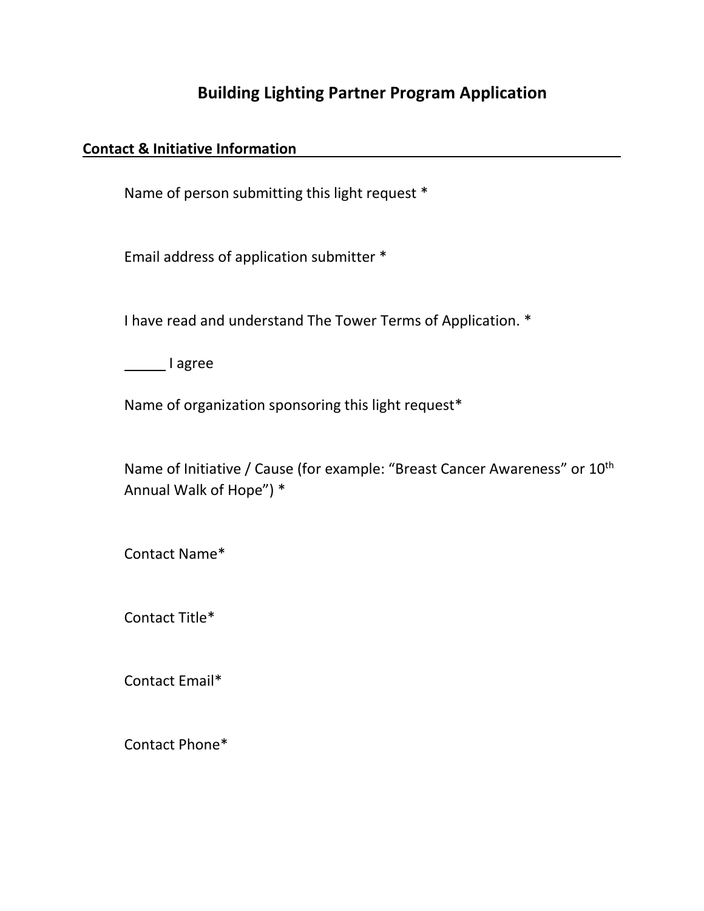### **Building Lighting Partner Program Application**

#### **Contact & Initiative Information**

Name of person submitting this light request \*

Email address of application submitter \*

I have read and understand The Tower Terms of Application. \*

I agree

Name of organization sponsoring this light request\*

Name of Initiative / Cause (for example: "Breast Cancer Awareness" or 10<sup>th</sup> Annual Walk of Hope") \*

Contact Name\*

Contact Title\*

Contact Email\*

Contact Phone\*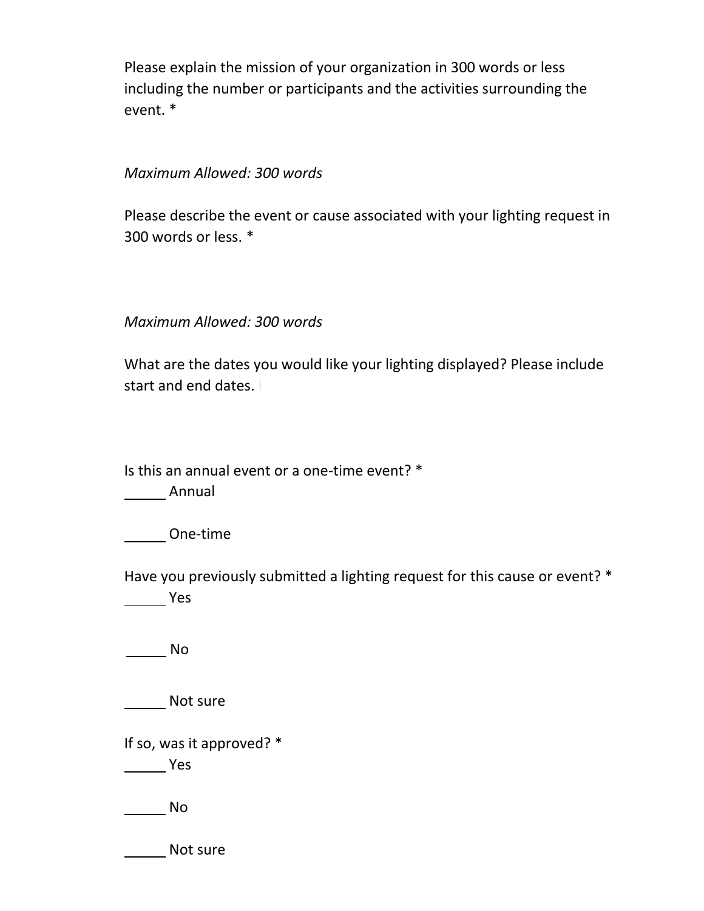Please explain the mission of your organization in 300 words or less including the number or participants and the activities surrounding the event. \*

#### *Maximum Allowed: 300 words*

Please describe the event or cause associated with your lighting request in 300 words or less. \*

*Maximum Allowed: 300 words*

What are the dates you would like your lighting displayed? Please include start and end dates.

Is this an annual event or a one-time event? \*

**Manual** 

One-time

Have you previously submitted a lighting request for this cause or event? \* Yes

No

Not sure

If so, was it approved? \*

Yes

No

Not sure